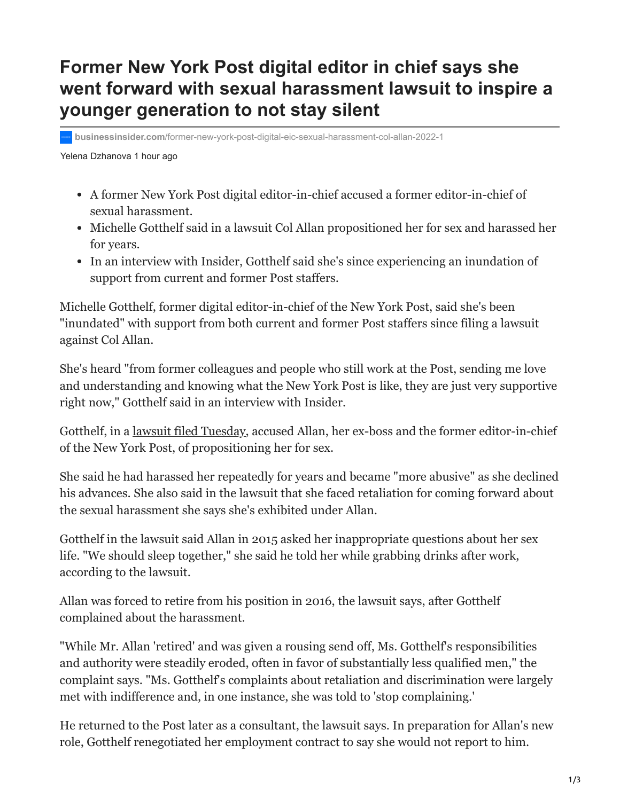## **Former New York Post digital editor in chief says she went forward with sexual harassment lawsuit to inspire a younger generation to not stay silent**

**businessinsider.com**[/former-new-york-post-digital-eic-sexual-harassment-col-allan-2022-1](https://www.businessinsider.com/former-new-york-post-digital-eic-sexual-harassment-col-allan-2022-1)

Yelena Dzhanova 1 hour ago

- A former New York Post digital editor-in-chief accused a former editor-in-chief of sexual harassment.
- Michelle Gotthelf said in a lawsuit Col Allan propositioned her for sex and harassed her for years.
- In an interview with Insider, Gotthelf said she's since experiencing an inundation of support from current and former Post staffers.

Michelle Gotthelf, former digital editor-in-chief of the New York Post, said she's been "inundated" with support from both current and former Post staffers since filing a lawsuit against Col Allan.

She's heard "from former colleagues and people who still work at the Post, sending me love and understanding and knowing what the New York Post is like, they are just very supportive right now," Gotthelf said in an interview with Insider.

Gotthelf, in a [lawsuit filed Tuesday,](https://www.businessinsider.com/new-york-post-former-employee-accuses-ex-colleague-sexual-harassment-2022-1) accused Allan, her ex-boss and the former editor-in-chief of the New York Post, of propositioning her for sex.

She said he had harassed her repeatedly for years and became "more abusive" as she declined his advances. She also said in the lawsuit that she faced retaliation for coming forward about the sexual harassment she says she's exhibited under Allan.

Gotthelf in the lawsuit said Allan in 2015 asked her inappropriate questions about her sex life. "We should sleep together," she said he told her while grabbing drinks after work, according to the lawsuit.

Allan was forced to retire from his position in 2016, the lawsuit says, after Gotthelf complained about the harassment.

"While Mr. Allan 'retired' and was given a rousing send off, Ms. Gotthelf's responsibilities and authority were steadily eroded, often in favor of substantially less qualified men," the complaint says. "Ms. Gotthelf's complaints about retaliation and discrimination were largely met with indifference and, in one instance, she was told to 'stop complaining.'

He returned to the Post later as a consultant, the lawsuit says. In preparation for Allan's new role, Gotthelf renegotiated her employment contract to say she would not report to him.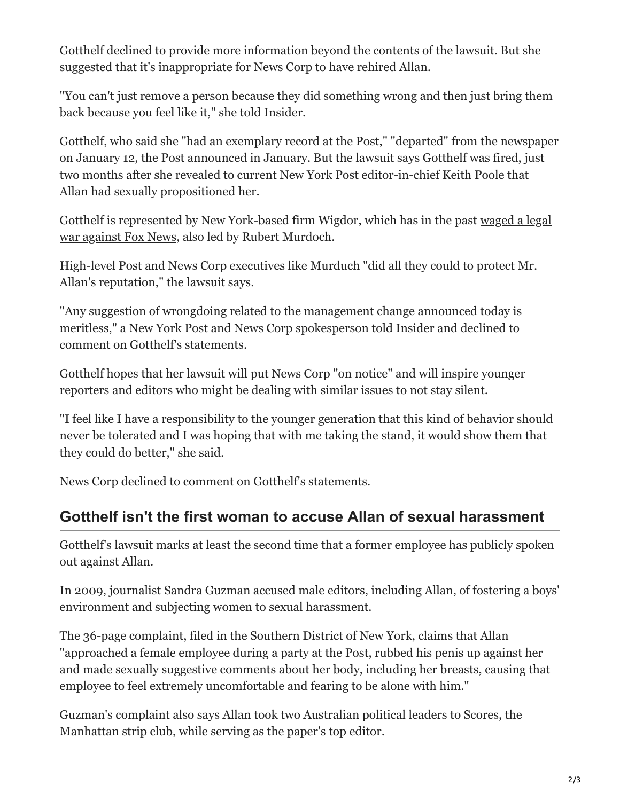Gotthelf declined to provide more information beyond the contents of the lawsuit. But she suggested that it's inappropriate for News Corp to have rehired Allan.

"You can't just remove a person because they did something wrong and then just bring them back because you feel like it," she told Insider.

Gotthelf, who said she "had an exemplary record at the Post," "departed" from the newspaper on January 12, the Post announced in January. But the lawsuit says Gotthelf was fired, just two months after she revealed to current New York Post editor-in-chief Keith Poole that Allan had sexually propositioned her.

[Gotthelf is represented by New York-based firm Wigdor, which has in the past waged a legal](https://www.nytimes.com/2017/09/22/nyregion/douglas-wigdor-fox-news.html) war against Fox News, also led by Rubert Murdoch.

High-level Post and News Corp executives like Murduch "did all they could to protect Mr. Allan's reputation," the lawsuit says.

"Any suggestion of wrongdoing related to the management change announced today is meritless," a New York Post and News Corp spokesperson told Insider and declined to comment on Gotthelf's statements.

Gotthelf hopes that her lawsuit will put News Corp "on notice" and will inspire younger reporters and editors who might be dealing with similar issues to not stay silent.

"I feel like I have a responsibility to the younger generation that this kind of behavior should never be tolerated and I was hoping that with me taking the stand, it would show them that they could do better," she said.

News Corp declined to comment on Gotthelf's statements.

## **Gotthelf isn't the first woman to accuse Allan of sexual harassment**

Gotthelf's lawsuit marks at least the second time that a former employee has publicly spoken out against Allan.

In 2009, journalist Sandra Guzman accused male editors, including Allan, of fostering a boys' environment and subjecting women to sexual harassment.

The 36-page complaint, filed in the Southern District of New York, claims that Allan "approached a female employee during a party at the Post, rubbed his penis up against her and made sexually suggestive comments about her body, including her breasts, causing that employee to feel extremely uncomfortable and fearing to be alone with him."

Guzman's complaint also says Allan took two Australian political leaders to Scores, the Manhattan strip club, while serving as the paper's top editor.